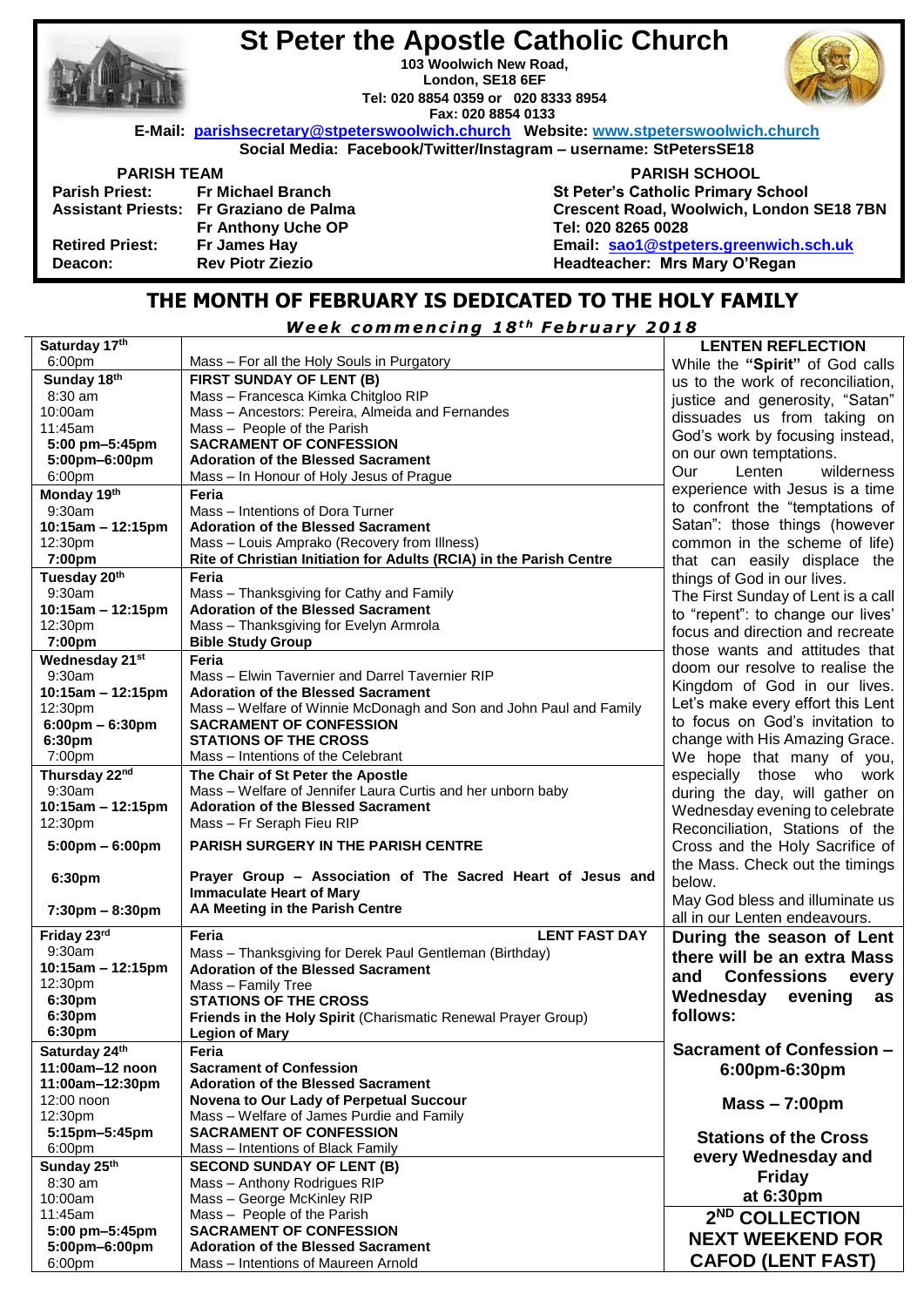

# **St Peter the Apostle Catholic Church**

**103 Woolwich New Road, London, SE18 6EF Tel: 020 8854 0359 or 020 8333 8954 Fax: 020 8854 0133**



 **E-Mail: [parishsecretary@stpeterswoolwich.church](mailto:parishsecretary@stpeterswoolwich.church) Website: [www.stpeterswoolwich.church](http://www.stpeterswoolwich.church/)**

**Social Media: Facebook/Twitter/Instagram – username: StPetersSE18**

| <b>Parish Priest:</b>     | <b>Fr Michael Branch</b>  |
|---------------------------|---------------------------|
| <b>Assistant Priests:</b> | Fr Graziano de Palma      |
|                           | <b>Fr Anthony Uche OP</b> |
| <b>Retired Priest:</b>    | Fr James Hay              |
| Deacon:                   | <b>Rev Piotr Ziezio</b>   |
|                           |                           |

 **PARISH TEAM PARISH SCHOOL St Peter's Catholic Primary School Crescent Road, Woolwich, London SE18 7BN Tel: 020 8265 0028 Email: [sao1@stpeters.greenwich.sch.uk](mailto:sao1@stpeters.greenwich.sch.uk) Headteacher: Mrs Mary O'Regan**

### **THE MONTH OF FEBRUARY IS DEDICATED TO THE HOLY FAMILY**

*W e e k c omm e n c i n g 1 8 t h F e b r u a r y 2 0 1 8*

| Saturday 17th                     |                                                                     | <b>LENTEN REFLECTION</b>           |
|-----------------------------------|---------------------------------------------------------------------|------------------------------------|
| 6:00pm                            | Mass - For all the Holy Souls in Purgatory                          | While the "Spirit" of God calls    |
| Sunday 18th                       | <b>FIRST SUNDAY OF LENT (B)</b>                                     | us to the work of reconciliation,  |
| $8:30$ am                         | Mass - Francesca Kimka Chitgloo RIP                                 | justice and generosity, "Satan"    |
| 10:00am                           | Mass - Ancestors: Pereira, Almeida and Fernandes                    | dissuades us from taking on        |
| 11:45am                           | Mass - People of the Parish                                         |                                    |
| 5:00 pm-5:45pm                    | <b>SACRAMENT OF CONFESSION</b>                                      | God's work by focusing instead,    |
| 5:00pm-6:00pm                     | <b>Adoration of the Blessed Sacrament</b>                           | on our own temptations.            |
| 6:00pm                            | Mass - In Honour of Holy Jesus of Prague                            | Our<br>Lenten<br>wilderness        |
| Monday 19th                       | Feria                                                               | experience with Jesus is a time    |
| 9:30am                            | Mass - Intentions of Dora Turner                                    | to confront the "temptations of    |
| 10:15am - 12:15pm                 | <b>Adoration of the Blessed Sacrament</b>                           | Satan": those things (however      |
| 12:30pm                           | Mass - Louis Amprako (Recovery from Illness)                        | common in the scheme of life)      |
| 7:00pm                            | Rite of Christian Initiation for Adults (RCIA) in the Parish Centre | that can easily displace the       |
| Tuesday 20th                      | Feria                                                               | things of God in our lives.        |
| 9:30am                            | Mass - Thanksgiving for Cathy and Family                            | The First Sunday of Lent is a call |
| 10:15am - 12:15pm                 | <b>Adoration of the Blessed Sacrament</b>                           | to "repent": to change our lives'  |
| 12:30pm                           | Mass - Thanksgiving for Evelyn Armrola                              |                                    |
| 7:00pm                            | <b>Bible Study Group</b>                                            | focus and direction and recreate   |
| Wednesday 21st                    | Feria                                                               | those wants and attitudes that     |
| 9:30am                            | Mass - Elwin Tavernier and Darrel Tavernier RIP                     | doom our resolve to realise the    |
| 10:15am - 12:15pm                 | <b>Adoration of the Blessed Sacrament</b>                           | Kingdom of God in our lives.       |
| 12:30pm                           | Mass - Welfare of Winnie McDonagh and Son and John Paul and Family  | Let's make every effort this Lent  |
| $6:00 \text{pm} - 6:30 \text{pm}$ | <b>SACRAMENT OF CONFESSION</b>                                      | to focus on God's invitation to    |
| 6:30pm                            | <b>STATIONS OF THE CROSS</b>                                        | change with His Amazing Grace.     |
| 7:00pm                            | Mass - Intentions of the Celebrant                                  | We hope that many of you,          |
| Thursday 22nd                     | The Chair of St Peter the Apostle                                   | especially those who work          |
| 9:30am                            | Mass - Welfare of Jennifer Laura Curtis and her unborn baby         | during the day, will gather on     |
| 10:15am - 12:15pm                 | <b>Adoration of the Blessed Sacrament</b>                           | Wednesday evening to celebrate     |
| 12:30pm                           | Mass - Fr Seraph Fieu RIP                                           | Reconciliation, Stations of the    |
|                                   | <b>PARISH SURGERY IN THE PARISH CENTRE</b>                          | Cross and the Holy Sacrifice of    |
| $5:00 \text{pm} - 6:00 \text{pm}$ |                                                                     |                                    |
| 6:30pm                            | Prayer Group - Association of The Sacred Heart of Jesus and         | the Mass. Check out the timings    |
|                                   | <b>Immaculate Heart of Mary</b>                                     | below.                             |
| $7:30 \text{pm} - 8:30 \text{pm}$ | AA Meeting in the Parish Centre                                     | May God bless and illuminate us    |
|                                   |                                                                     | all in our Lenten endeavours.      |
| Friday 23rd                       | <b>LENT FAST DAY</b><br>Feria                                       | During the season of Lent          |
| 9:30am                            | Mass - Thanksgiving for Derek Paul Gentleman (Birthday)             | there will be an extra Mass        |
| 10:15am - 12:15pm                 | <b>Adoration of the Blessed Sacrament</b>                           | <b>Confessions</b><br>and<br>every |
| 12:30pm                           | Mass - Family Tree                                                  | Wednesday                          |
| 6:30pm                            | <b>STATIONS OF THE CROSS</b>                                        | evening<br>as                      |
| 6:30pm                            | Friends in the Holy Spirit (Charismatic Renewal Prayer Group)       | follows:                           |
| 6:30pm                            | <b>Legion of Mary</b>                                               |                                    |
| Saturday 24th                     | Feria                                                               | <b>Sacrament of Confession -</b>   |
| 11:00am-12 noon                   | <b>Sacrament of Confession</b>                                      | 6:00pm-6:30pm                      |
| 11:00am-12:30pm                   | <b>Adoration of the Blessed Sacrament</b>                           |                                    |
| 12:00 noon                        | Novena to Our Lady of Perpetual Succour                             | $Mass - 7:00 \text{pm}$            |
| 12:30pm                           | Mass - Welfare of James Purdie and Family                           |                                    |
| 5:15pm-5:45pm                     | <b>SACRAMENT OF CONFESSION</b>                                      | <b>Stations of the Cross</b>       |
| 6:00pm                            | Mass - Intentions of Black Family                                   | every Wednesday and                |
| Sunday 25th                       | <b>SECOND SUNDAY OF LENT (B)</b>                                    | <b>Friday</b>                      |
| $8:30$ am                         | Mass - Anthony Rodrigues RIP                                        |                                    |
| 10:00am                           | Mass - George McKinley RIP                                          | at 6:30pm                          |
| 11:45am                           | Mass - People of the Parish                                         | 2 <sup>ND</sup> COLLECTION         |
| 5:00 pm-5:45pm                    | <b>SACRAMENT OF CONFESSION</b>                                      | <b>NEXT WEEKEND FOR</b>            |
| 5:00pm-6:00pm                     | <b>Adoration of the Blessed Sacrament</b>                           |                                    |
| 6:00pm                            | Mass - Intentions of Maureen Arnold                                 | <b>CAFOD (LENT FAST)</b>           |